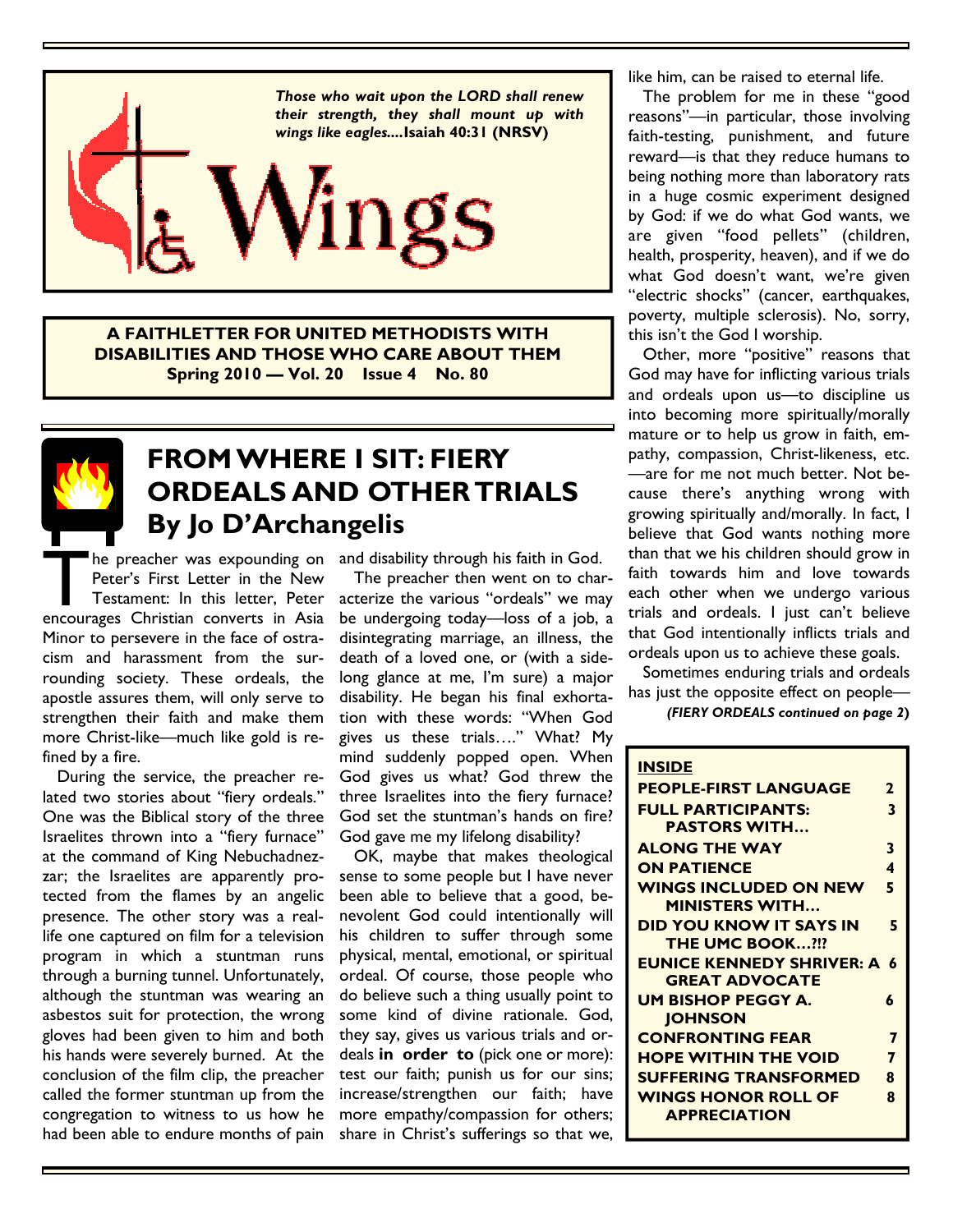

A FAITHLETTER FOR UNITED METHODISTS WITH DISABILITIES AND THOSE WHO CARE ABOUT THEM Spring 2010 — Vol. 20 Issue 4 No. 80



#### FROM WHERE I SIT: FIERY ORDEALS AND OTHER TRIALS By Jo D'Archangelis

The preacher was expounding on<br>
Peter's First Letter in the New<br>
Testament: In this letter, Peter<br>
encourages Christian converts in Asia Peter's First Letter in the New Testament: In this letter, Peter Minor to persevere in the face of ostracism and harassment from the surrounding society. These ordeals, the apostle assures them, will only serve to strengthen their faith and make them more Christ-like—much like gold is refined by a fire.

 During the service, the preacher related two stories about "fiery ordeals." One was the Biblical story of the three Israelites thrown into a "fiery furnace" at the command of King Nebuchadnezzar; the Israelites are apparently protected from the flames by an angelic presence. The other story was a reallife one captured on film for a television program in which a stuntman runs through a burning tunnel. Unfortunately, although the stuntman was wearing an asbestos suit for protection, the wrong gloves had been given to him and both his hands were severely burned. At the conclusion of the film clip, the preacher called the former stuntman up from the congregation to witness to us how he had been able to endure months of pain

he preacher was expounding on and disability through his faith in God.

 The preacher then went on to characterize the various "ordeals" we may be undergoing today—loss of a job, a disintegrating marriage, an illness, the death of a loved one, or (with a sidelong glance at me, I'm sure) a major disability. He began his final exhortation with these words: "When God gives us these trials…." What? My mind suddenly popped open. When God gives us what? God threw the three Israelites into the fiery furnace? God set the stuntman's hands on fire? God gave me my lifelong disability?

 OK, maybe that makes theological sense to some people but I have never been able to believe that a good, benevolent God could intentionally will his children to suffer through some physical, mental, emotional, or spiritual ordeal. Of course, those people who do believe such a thing usually point to some kind of divine rationale. God, they say, gives us various trials and ordeals in order to (pick one or more): test our faith; punish us for our sins; increase/strengthen our faith; have more empathy/compassion for others; share in Christ's sufferings so that we, like him, can be raised to eternal life.

 The problem for me in these "good reasons"—in particular, those involving faith-testing, punishment, and future reward—is that they reduce humans to being nothing more than laboratory rats in a huge cosmic experiment designed by God: if we do what God wants, we are given "food pellets" (children, health, prosperity, heaven), and if we do what God doesn't want, we're given "electric shocks" (cancer, earthquakes, poverty, multiple sclerosis). No, sorry, this isn't the God I worship.

 Other, more "positive" reasons that God may have for inflicting various trials and ordeals upon us—to discipline us into becoming more spiritually/morally mature or to help us grow in faith, empathy, compassion, Christ-likeness, etc. —are for me not much better. Not because there's anything wrong with growing spiritually and/morally. In fact, I believe that God wants nothing more than that we his children should grow in faith towards him and love towards each other when we undergo various trials and ordeals. I just can't believe that God intentionally inflicts trials and ordeals upon us to achieve these goals.

 Sometimes enduring trials and ordeals has just the opposite effect on people—

(FIERY ORDEALS continued on page 2)

| <b>INSIDE</b>                      |              |
|------------------------------------|--------------|
| <b>PEOPLE-FIRST LANGUAGE</b>       | $\mathbf{z}$ |
| <b>FULL PARTICIPANTS:</b>          | 3            |
| <b>PASTORS WITH</b>                |              |
| <b>ALONG THE WAY</b>               | 3            |
| <b>ON PATIENCE</b>                 | 4            |
| <b>WINGS INCLUDED ON NEW</b>       | 5            |
| <b>MINISTERS WITH</b>              |              |
| <b>DID YOU KNOW IT SAYS IN</b>     | 5            |
| <b>THE UMC BOOK?!?</b>             |              |
| <b>EUNICE KENNEDY SHRIVER: A 6</b> |              |
| <b>GREAT ADVOCATE</b>              |              |
| UM BISHOP PEGGY A.                 | 6            |
| <b>JOHNSON</b>                     |              |
| <b>CONFRONTING FEAR</b>            | 7            |
| <b>HOPE WITHIN THE VOID</b>        | 7            |
| <b>SUFFERING TRANSFORMED</b>       | 8            |
| <b>WINGS HONOR ROLL OF</b>         | 8            |
| <b>APPRECIATION</b>                |              |
|                                    |              |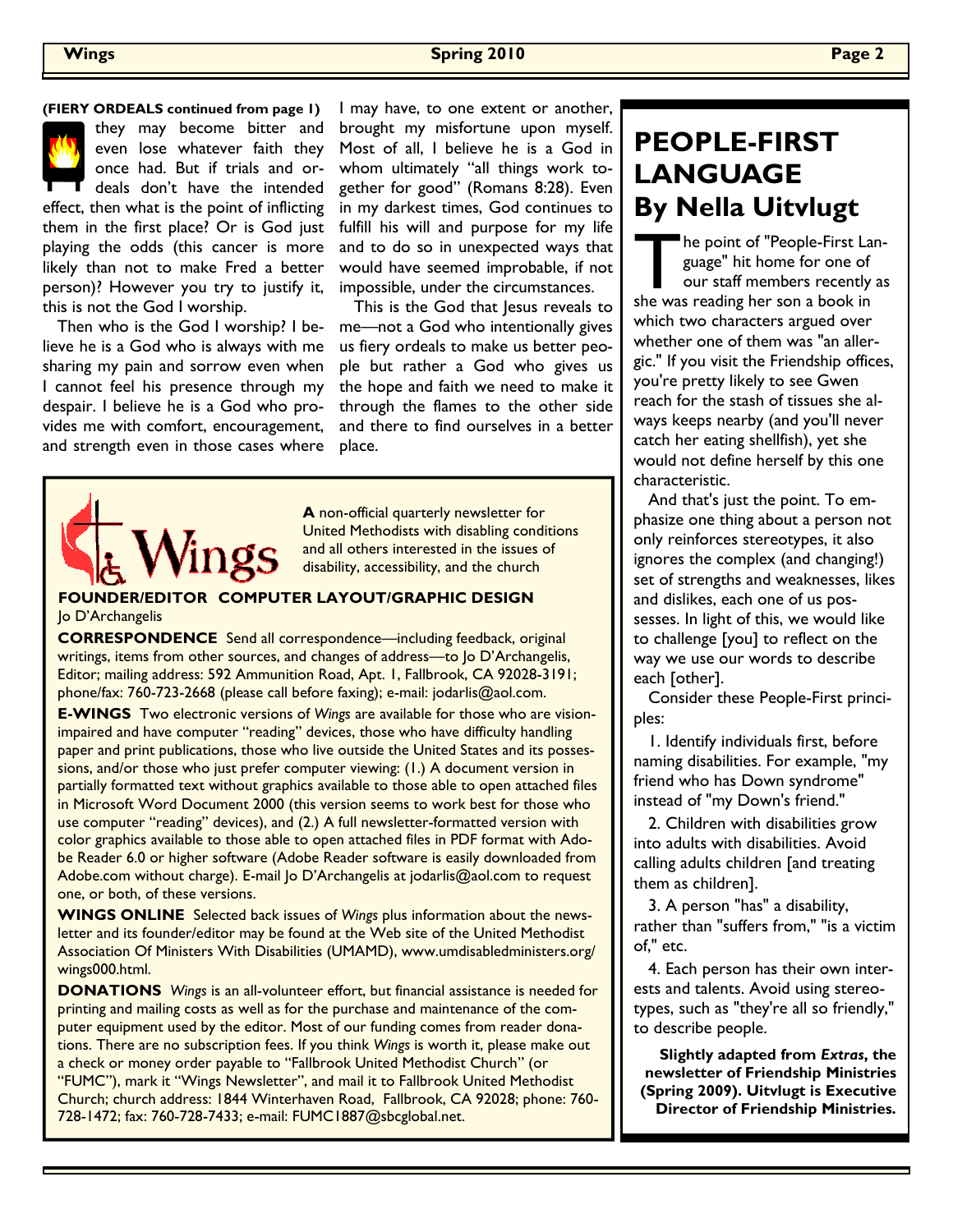#### **The Spring 2010** Page 2 and 2010 **Page 2**

they may become bitter and even lose whatever faith they once had. But if trials and ordeals don't have the intended effect, then what is the point of inflicting them in the first place? Or is God just playing the odds (this cancer is more likely than not to make Fred a better person)? However you try to justify it, this is not the God I worship.

 Then who is the God I worship? I believe he is a God who is always with me sharing my pain and sorrow even when I cannot feel his presence through my despair. I believe he is a God who provides me with comfort, encouragement, and strength even in those cases where

**(FIERY ORDEALS continued from page 1)**  $\parallel$  may have, to one extent or another, brought my misfortune upon myself. Most of all, I believe he is a God in whom ultimately "all things work together for good" (Romans 8:28). Even in my darkest times, God continues to fulfill his will and purpose for my life and to do so in unexpected ways that would have seemed improbable, if not impossible, under the circumstances.

> This is the God that Jesus reveals to me—not a God who intentionally gives us fiery ordeals to make us better people but rather a God who gives us the hope and faith we need to make it through the flames to the other side and there to find ourselves in a better place.



A non-official quarterly newsletter for United Methodists with disabling conditions and all others interested in the issues of disability, accessibility, and the church

#### FOUNDER/EDITOR COMPUTER LAYOUT/GRAPHIC DESIGN Jo D'Archangelis

CORRESPONDENCE Send all correspondence—including feedback, original writings, items from other sources, and changes of address—to Jo D'Archangelis, Editor; mailing address: 592 Ammunition Road, Apt. 1, Fallbrook, CA 92028-3191; phone/fax: 760-723-2668 (please call before faxing); e-mail: jodarlis@aol.com.

E-WINGS Two electronic versions of Wings are available for those who are visionimpaired and have computer "reading" devices, those who have difficulty handling paper and print publications, those who live outside the United States and its possessions, and/or those who just prefer computer viewing: (1.) A document version in partially formatted text without graphics available to those able to open attached files in Microsoft Word Document 2000 (this version seems to work best for those who use computer "reading" devices), and (2.) A full newsletter-formatted version with color graphics available to those able to open attached files in PDF format with Adobe Reader 6.0 or higher software (Adobe Reader software is easily downloaded from Adobe.com without charge). E-mail Jo D'Archangelis at jodarlis@aol.com to request one, or both, of these versions.

WINGS ONLINE Selected back issues of Wings plus information about the newsletter and its founder/editor may be found at the Web site of the United Methodist Association Of Ministers With Disabilities (UMAMD), www.umdisabledministers.org/ wings000.html.

DONATIONS Wings is an all-volunteer effort, but financial assistance is needed for printing and mailing costs as well as for the purchase and maintenance of the computer equipment used by the editor. Most of our funding comes from reader donations. There are no subscription fees. If you think Wings is worth it, please make out a check or money order payable to "Fallbrook United Methodist Church" (or "FUMC"), mark it "Wings Newsletter", and mail it to Fallbrook United Methodist Church; church address: 1844 Winterhaven Road, Fallbrook, CA 92028; phone: 760- 728-1472; fax: 760-728-7433; e-mail: FUMC1887@sbcglobal.net.

#### PEOPLE-FIRST **LANGUAGE** By Nella Uitvlugt

The point of "People-First Language" hit home for one of our staff members recently as she was reading her son a book in which two characters argued over whether one of them was "an allergic." If you visit the Friendship offices, you're pretty likely to see Gwen reach for the stash of tissues she always keeps nearby (and you'll never catch her eating shellfish), yet she would not define herself by this one characteristic.

 And that's just the point. To emphasize one thing about a person not only reinforces stereotypes, it also ignores the complex (and changing!) set of strengths and weaknesses, likes and dislikes, each one of us possesses. In light of this, we would like to challenge [you] to reflect on the way we use our words to describe each [other].

 Consider these People-First principles:

 1. Identify individuals first, before naming disabilities. For example, "my friend who has Down syndrome" instead of "my Down's friend."

 2. Children with disabilities grow into adults with disabilities. Avoid calling adults children [and treating them as children].

 3. A person "has" a disability, rather than "suffers from," "is a victim of," etc.

 4. Each person has their own interests and talents. Avoid using stereotypes, such as "they're all so friendly," to describe people.

Slightly adapted from Extras, the newsletter of Friendship Ministries (Spring 2009). Uitvlugt is Executive Director of Friendship Ministries.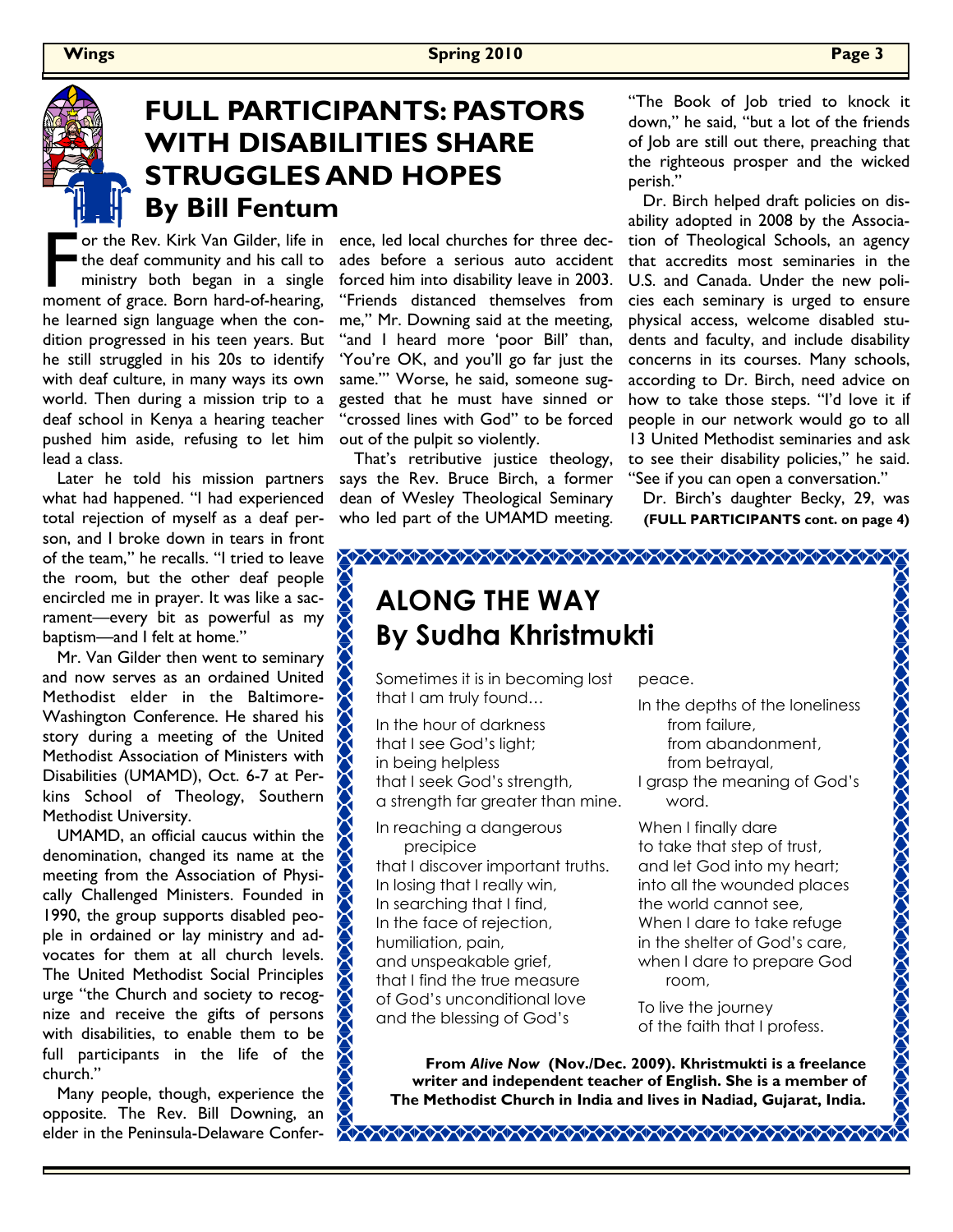

### FULL PARTICIPANTS: PASTORS WITH DISABILITIES SHARE STRUGGLES AND HOPES By Bill Fentum

F or the Rev. Kirk Van Gilder, life in<br>the deaf community and his call to<br>ministry both began in a single<br>moment of grace. Born hard-of-hearing, the deaf community and his call to ministry both began in a single he learned sign language when the condition progressed in his teen years. But he still struggled in his 20s to identify with deaf culture, in many ways its own world. Then during a mission trip to a deaf school in Kenya a hearing teacher pushed him aside, refusing to let him lead a class.

 Later he told his mission partners what had happened. "I had experienced total rejection of myself as a deaf person, and I broke down in tears in front of the team," he recalls. "I tried to leave the room, but the other deaf people encircled me in prayer. It was like a sacrament—every bit as powerful as my baptism—and I felt at home."

 Mr. Van Gilder then went to seminary and now serves as an ordained United Methodist elder in the Baltimore-Washington Conference. He shared his story during a meeting of the United Methodist Association of Ministers with Disabilities (UMAMD), Oct. 6-7 at Perkins School of Theology, Southern Methodist University.

 UMAMD, an official caucus within the denomination, changed its name at the meeting from the Association of Physically Challenged Ministers. Founded in 1990, the group supports disabled people in ordained or lay ministry and advocates for them at all church levels. The United Methodist Social Principles urge "the Church and society to recognize and receive the gifts of persons with disabilities, to enable them to be full participants in the life of the church."

 Many people, though, experience the opposite. The Rev. Bill Downing, an elder in the Peninsula-Delaware Confer-

ence, led local churches for three decades before a serious auto accident forced him into disability leave in 2003. "Friends distanced themselves from me," Mr. Downing said at the meeting, "and I heard more 'poor Bill' than, 'You're OK, and you'll go far just the same.'" Worse, he said, someone suggested that he must have sinned or "crossed lines with God" to be forced out of the pulpit so violently.

 That's retributive justice theology, says the Rev. Bruce Birch, a former dean of Wesley Theological Seminary who led part of the UMAMD meeting.

"The Book of Job tried to knock it down," he said, "but a lot of the friends of Job are still out there, preaching that the righteous prosper and the wicked perish."

 Dr. Birch helped draft policies on disability adopted in 2008 by the Association of Theological Schools, an agency that accredits most seminaries in the U.S. and Canada. Under the new policies each seminary is urged to ensure physical access, welcome disabled students and faculty, and include disability concerns in its courses. Many schools, according to Dr. Birch, need advice on how to take those steps. "I'd love it if people in our network would go to all 13 United Methodist seminaries and ask to see their disability policies," he said. "See if you can open a conversation."

 Dr. Birch's daughter Becky, 29, was (FULL PARTICIPANTS cont. on page 4)

# ALONG THE WAY By Sudha Khristmukti

Sometimes it is in becoming lost that I am truly found…

In the hour of darkness that I see God's light; in being helpless that I seek God's strength, a strength far greater than mine.

In reaching a dangerous precipice that I discover important truths. In losing that I really win, In searching that I find, In the face of rejection, humiliation, pain, and unspeakable grief, that I find the true measure of God's unconditional love and the blessing of God's

peace.

◇◇◇◇◇◇◇◇◇◇◇◇◇◇◇◇◇◇◇◇◇◇◇◇◇◇◇◇◇◇◇◇◇◇

In the depths of the loneliness from failure, from abandonment, from betrayal, I grasp the meaning of God's

word.

When I finally dare to take that step of trust, and let God into my heart; into all the wounded places the world cannot see, When I dare to take refuge in the shelter of God's care, when I dare to prepare God room,

To live the journey of the faith that I profess.

From Alive Now (Nov./Dec. 2009). Khristmukti is a freelance writer and independent teacher of English. She is a member of The Methodist Church in India and lives in Nadiad, Gujarat, India.

ANCORA CONTROLADO DE CONTROLADO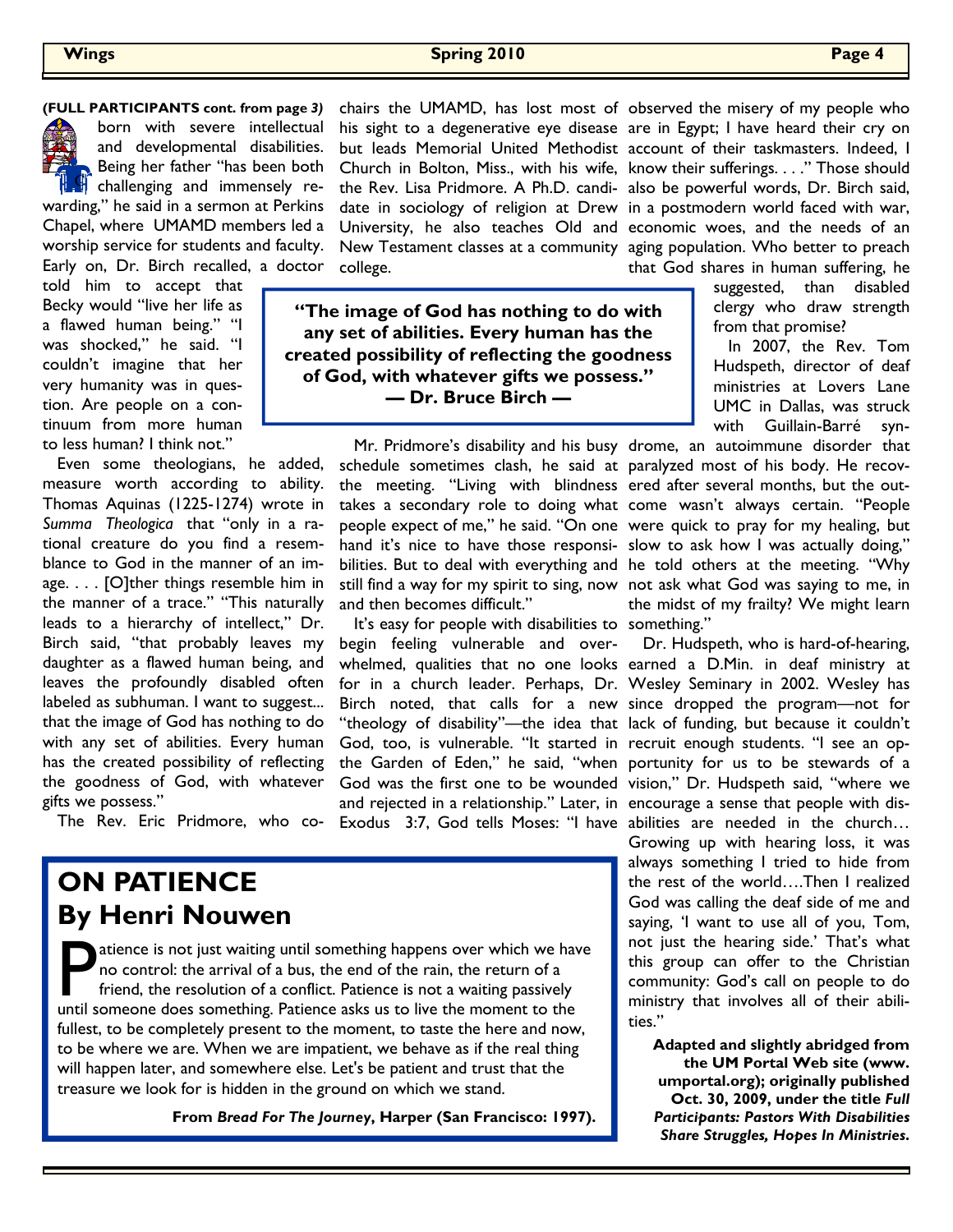

born with severe intellectual and developmental disabilities. Being her father "has been both  $\mathbb{C}$  challenging and immensely rewarding," he said in a sermon at Perkins

Chapel, where UMAMD members led a worship service for students and faculty. Early on, Dr. Birch recalled, a doctor

told him to accept that Becky would "live her life as a flawed human being." "I was shocked," he said. "I couldn't imagine that her very humanity was in question. Are people on a continuum from more human to less human? I think not."

 Even some theologians, he added, measure worth according to ability. Thomas Aquinas (1225-1274) wrote in Summa Theologica that "only in a rational creature do you find a resemblance to God in the manner of an image. . . . [O]ther things resemble him in the manner of a trace." "This naturally leads to a hierarchy of intellect," Dr. Birch said, "that probably leaves my daughter as a flawed human being, and leaves the profoundly disabled often labeled as subhuman. I want to suggest... that the image of God has nothing to do with any set of abilities. Every human has the created possibility of reflecting the goodness of God, with whatever gifts we possess."

The Rev. Eric Pridmore, who co-

## ON PATIENCE By Henri Nouwen

atience is not just waiting until something happens over which we have no control: the arrival of a bus, the end of the rain, the return of a friend, the resolution of a conflict. Patience is not a waiting passively until someone does something. Patience asks us to live the moment to the fullest, to be completely present to the moment, to taste the here and now, to be where we are. When we are impatient, we behave as if the real thing will happen later, and somewhere else. Let's be patient and trust that the treasure we look for is hidden in the ground on which we stand.

From Bread For The Journey, Harper (San Francisco: 1997).

college.

"The image of God has nothing to do with any set of abilities. Every human has the created possibility of reflecting the goodness of God, with whatever gifts we possess." — Dr. Bruce Birch —

> Mr. Pridmore's disability and his busy drome, an autoimmune disorder that schedule sometimes clash, he said at paralyzed most of his body. He recovthe meeting. "Living with blindness ered after several months, but the outand then becomes difficult."

> It's easy for people with disabilities to something." God, too, is vulnerable. "It started in recruit enough students. "I see an opand rejected in a relationship." Later, in encourage a sense that people with dis-Exodus 3:7, God tells Moses: "I have abilities are needed in the church... begin feeling vulnerable and over-

(FULL PARTICIPANTS cont. from page 3) chairs the UMAMD, has lost most of observed the misery of my people who his sight to a degenerative eye disease are in Egypt; I have heard their cry on but leads Memorial United Methodist account of their taskmasters. Indeed, I Church in Bolton, Miss., with his wife, know their sufferings. . . ." Those should the Rev. Lisa Pridmore. A Ph.D. candi- also be powerful words, Dr. Birch said, date in sociology of religion at Drew in a postmodern world faced with war, University, he also teaches Old and economic woes, and the needs of an New Testament classes at a community aging population. Who better to preach that God shares in human suffering, he

> suggested, than disabled clergy who draw strength from that promise?

 In 2007, the Rev. Tom Hudspeth, director of deaf ministries at Lovers Lane UMC in Dallas, was struck with Guillain-Barré syn-

takes a secondary role to doing what come wasn't always certain. "People people expect of me," he said. "On one were quick to pray for my healing, but hand it's nice to have those responsi- slow to ask how I was actually doing," bilities. But to deal with everything and he told others at the meeting. "Why still find a way for my spirit to sing, now not ask what God was saying to me, in the midst of my frailty? We might learn

 Dr. Hudspeth, who is hard-of-hearing, whelmed, qualities that no one looks earned a D.Min. in deaf ministry at for in a church leader. Perhaps, Dr. Wesley Seminary in 2002. Wesley has Birch noted, that calls for a new since dropped the program—not for "theology of disability"—the idea that lack of funding, but because it couldn't the Garden of Eden," he said, "when portunity for us to be stewards of a God was the first one to be wounded vision," Dr. Hudspeth said, "where we Growing up with hearing loss, it was always something I tried to hide from the rest of the world….Then I realized God was calling the deaf side of me and saying, 'I want to use all of you, Tom, not just the hearing side.' That's what

this group can offer to the Christian community: God's call on people to do ministry that involves all of their abilities."

Adapted and slightly abridged from the UM Portal Web site (www. umportal.org); originally published Oct. 30, 2009, under the title Full Participants: Pastors With Disabilities Share Struggles, Hopes In Ministries.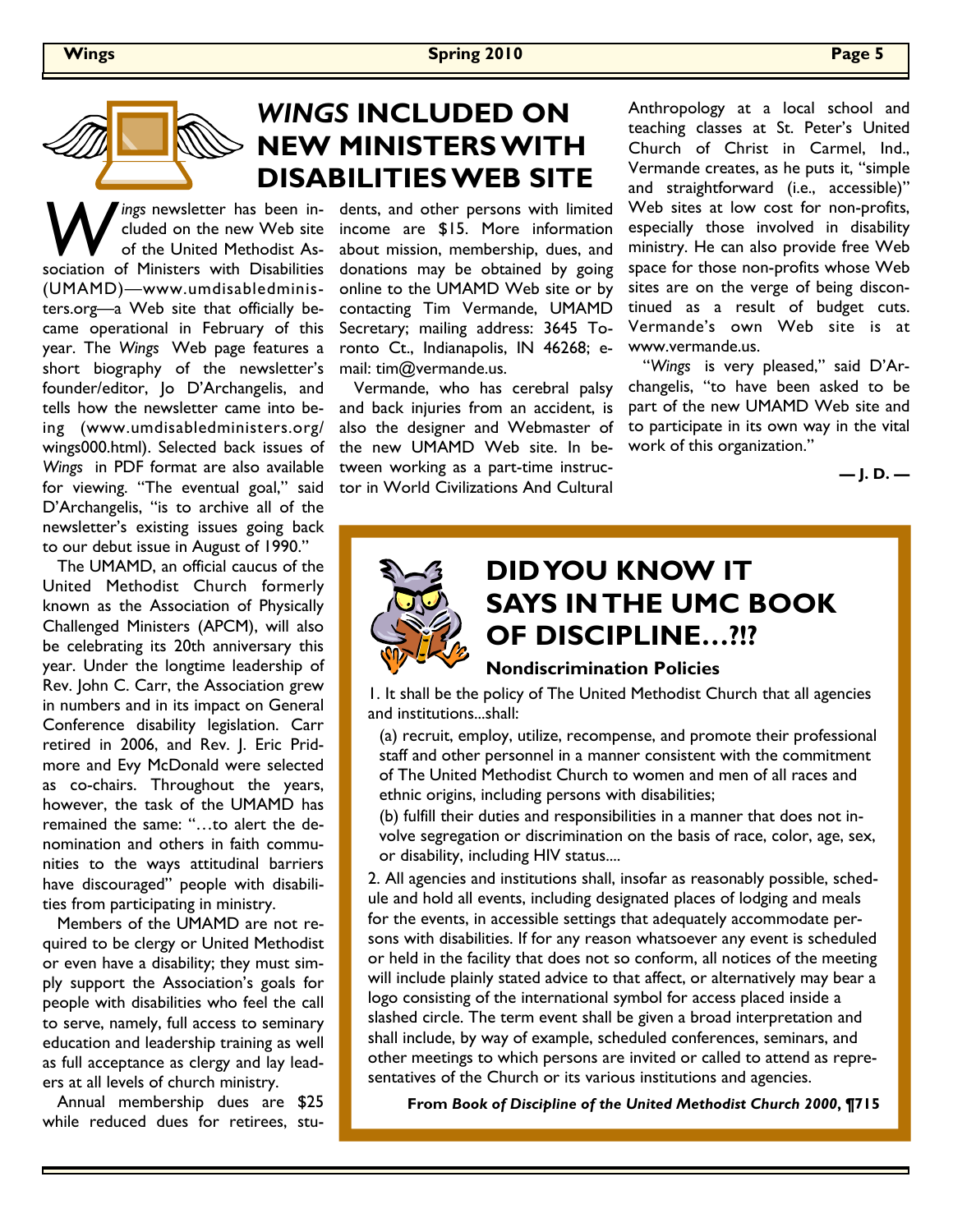

W ings newsletter has been in-<br>
of the United Methodist As-<br>
sociation of Ministers with Disabilities cluded on the new Web site of the United Methodist As-(UMAMD)—www.umdisabledministers.org—a Web site that officially became operational in February of this year. The Wings Web page features a short biography of the newsletter's founder/editor, Jo D'Archangelis, and tells how the newsletter came into being (www.umdisabledministers.org/ wings000.html). Selected back issues of Wings in PDF format are also available for viewing. "The eventual goal," said D'Archangelis, "is to archive all of the newsletter's existing issues going back to our debut issue in August of 1990."

 The UMAMD, an official caucus of the United Methodist Church formerly known as the Association of Physically Challenged Ministers (APCM), will also be celebrating its 20th anniversary this year. Under the longtime leadership of Rev. John C. Carr, the Association grew in numbers and in its impact on General Conference disability legislation. Carr retired in 2006, and Rev. J. Eric Pridmore and Evy McDonald were selected as co-chairs. Throughout the years, however, the task of the UMAMD has remained the same: "…to alert the denomination and others in faith communities to the ways attitudinal barriers have discouraged" people with disabilities from participating in ministry.

 Members of the UMAMD are not required to be clergy or United Methodist or even have a disability; they must simply support the Association's goals for people with disabilities who feel the call to serve, namely, full access to seminary education and leadership training as well as full acceptance as clergy and lay leaders at all levels of church ministry.

 Annual membership dues are \$25 while reduced dues for retirees, stu-

### WINGS INCLUDED ON  $\gtrdot$  NEW MINISTERS WITH DISABILITIES WEB SITE

dents, and other persons with limited income are \$15. More information about mission, membership, dues, and donations may be obtained by going online to the UMAMD Web site or by contacting Tim Vermande, UMAMD Secretary; mailing address: 3645 Toronto Ct., Indianapolis, IN 46268; email: tim@vermande.us.

 Vermande, who has cerebral palsy and back injuries from an accident, is also the designer and Webmaster of the new UMAMD Web site. In between working as a part-time instructor in World Civilizations And Cultural

Anthropology at a local school and teaching classes at St. Peter's United Church of Christ in Carmel, Ind., Vermande creates, as he puts it, "simple and straightforward (i.e., accessible)" Web sites at low cost for non-profits, especially those involved in disability ministry. He can also provide free Web space for those non-profits whose Web sites are on the verge of being discontinued as a result of budget cuts. Vermande's own Web site is at www.vermande.us.

 "Wings is very pleased," said D'Archangelis, "to have been asked to be part of the new UMAMD Web site and to participate in its own way in the vital work of this organization."

— J. D. —

# DID YOU KNOW IT SAYS IN THE UMC BOOK OF DISCIPLINE…?!?

#### Nondiscrimination Policies

1. It shall be the policy of The United Methodist Church that all agencies and institutions...shall:

(a) recruit, employ, utilize, recompense, and promote their professional staff and other personnel in a manner consistent with the commitment of The United Methodist Church to women and men of all races and ethnic origins, including persons with disabilities;

(b) fulfill their duties and responsibilities in a manner that does not involve segregation or discrimination on the basis of race, color, age, sex, or disability, including HIV status....

2. All agencies and institutions shall, insofar as reasonably possible, schedule and hold all events, including designated places of lodging and meals for the events, in accessible settings that adequately accommodate persons with disabilities. If for any reason whatsoever any event is scheduled or held in the facility that does not so conform, all notices of the meeting will include plainly stated advice to that affect, or alternatively may bear a logo consisting of the international symbol for access placed inside a slashed circle. The term event shall be given a broad interpretation and shall include, by way of example, scheduled conferences, seminars, and other meetings to which persons are invited or called to attend as representatives of the Church or its various institutions and agencies.

From Book of Discipline of the United Methodist Church 2000, ¶715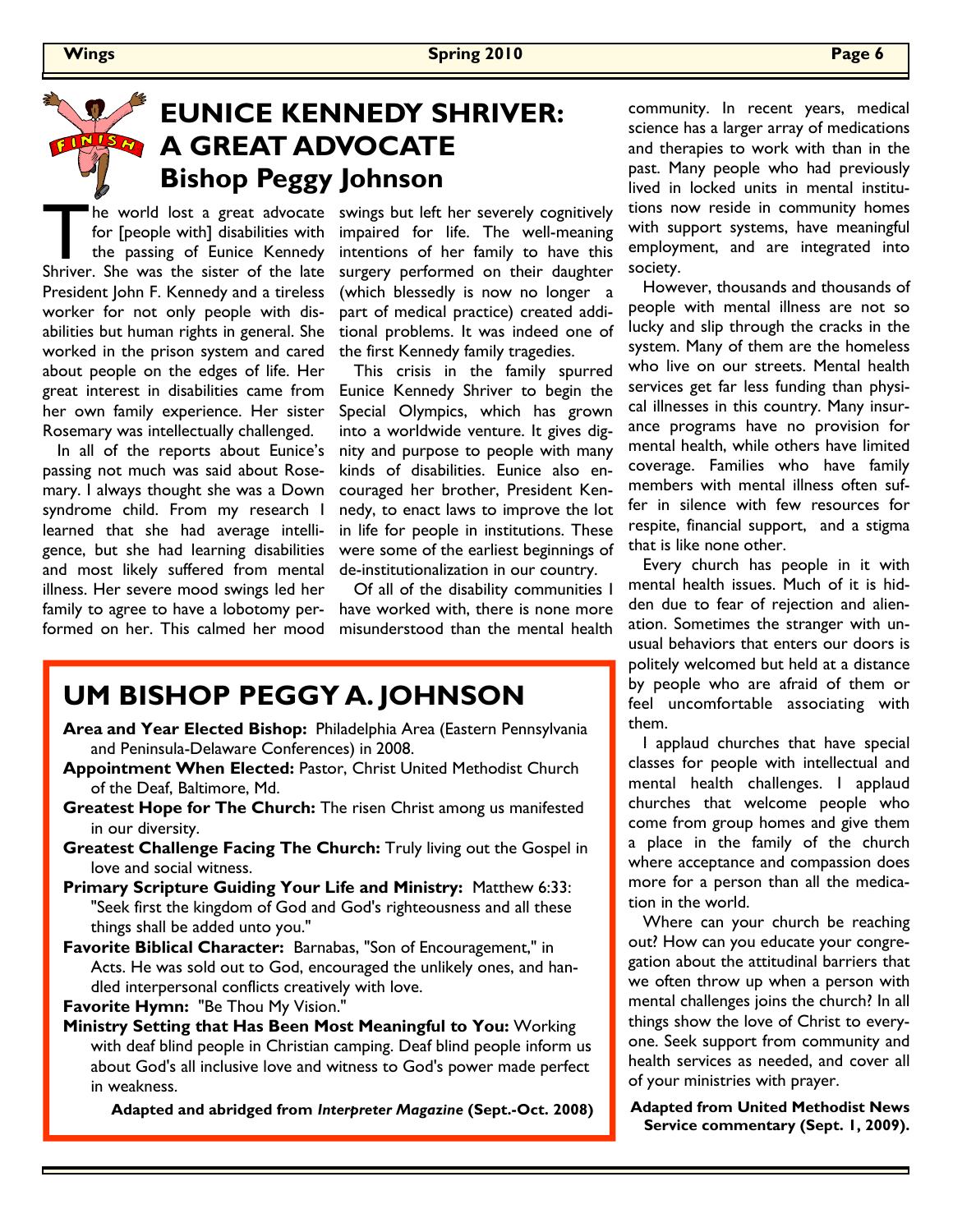# EUNICE KENNEDY SHRIVER: A GREAT ADVOCATE Bishop Peggy Johnson

The world lost a great advocate<br>for [people with] disabilities with<br>the passing of Eunice Kennedy<br>Shriver. She was the sister of the late for [people with] disabilities with the passing of Eunice Kennedy Shriver. She was the sister of the late President John F. Kennedy and a tireless worker for not only people with disabilities but human rights in general. She worked in the prison system and cared about people on the edges of life. Her great interest in disabilities came from her own family experience. Her sister Rosemary was intellectually challenged.

 In all of the reports about Eunice's passing not much was said about Rosemary. I always thought she was a Down syndrome child. From my research I learned that she had average intelligence, but she had learning disabilities and most likely suffered from mental illness. Her severe mood swings led her family to agree to have a lobotomy performed on her. This calmed her mood swings but left her severely cognitively impaired for life. The well-meaning intentions of her family to have this surgery performed on their daughter (which blessedly is now no longer a part of medical practice) created additional problems. It was indeed one of the first Kennedy family tragedies.

 This crisis in the family spurred Eunice Kennedy Shriver to begin the Special Olympics, which has grown into a worldwide venture. It gives dignity and purpose to people with many kinds of disabilities. Eunice also encouraged her brother, President Kennedy, to enact laws to improve the lot in life for people in institutions. These were some of the earliest beginnings of de-institutionalization in our country.

 Of all of the disability communities I have worked with, there is none more misunderstood than the mental health

#### UM BISHOP PEGGY A. JOHNSON

- Area and Year Elected Bishop: Philadelphia Area (Eastern Pennsylvania and Peninsula-Delaware Conferences) in 2008.
- Appointment When Elected: Pastor, Christ United Methodist Church of the Deaf, Baltimore, Md.
- Greatest Hope for The Church: The risen Christ among us manifested in our diversity.
- Greatest Challenge Facing The Church: Truly living out the Gospel in love and social witness.
- Primary Scripture Guiding Your Life and Ministry: Matthew 6:33: "Seek first the kingdom of God and God's righteousness and all these things shall be added unto you."
- Favorite Biblical Character: Barnabas, "Son of Encouragement," in Acts. He was sold out to God, encouraged the unlikely ones, and handled interpersonal conflicts creatively with love.
- Favorite Hymn: "Be Thou My Vision."
- Ministry Setting that Has Been Most Meaningful to You: Working with deaf blind people in Christian camping. Deaf blind people inform us about God's all inclusive love and witness to God's power made perfect in weakness.

Adapted and abridged from Interpreter Magazine (Sept.-Oct. 2008)

community. In recent years, medical science has a larger array of medications and therapies to work with than in the past. Many people who had previously lived in locked units in mental institutions now reside in community homes with support systems, have meaningful employment, and are integrated into society.

 However, thousands and thousands of people with mental illness are not so lucky and slip through the cracks in the system. Many of them are the homeless who live on our streets. Mental health services get far less funding than physical illnesses in this country. Many insurance programs have no provision for mental health, while others have limited coverage. Families who have family members with mental illness often suffer in silence with few resources for respite, financial support, and a stigma that is like none other.

 Every church has people in it with mental health issues. Much of it is hidden due to fear of rejection and alienation. Sometimes the stranger with unusual behaviors that enters our doors is politely welcomed but held at a distance by people who are afraid of them or feel uncomfortable associating with them.

 I applaud churches that have special classes for people with intellectual and mental health challenges. I applaud churches that welcome people who come from group homes and give them a place in the family of the church where acceptance and compassion does more for a person than all the medication in the world.

 Where can your church be reaching out? How can you educate your congregation about the attitudinal barriers that we often throw up when a person with mental challenges joins the church? In all things show the love of Christ to everyone. Seek support from community and health services as needed, and cover all of your ministries with prayer.

Adapted from United Methodist News Service commentary (Sept. 1, 2009).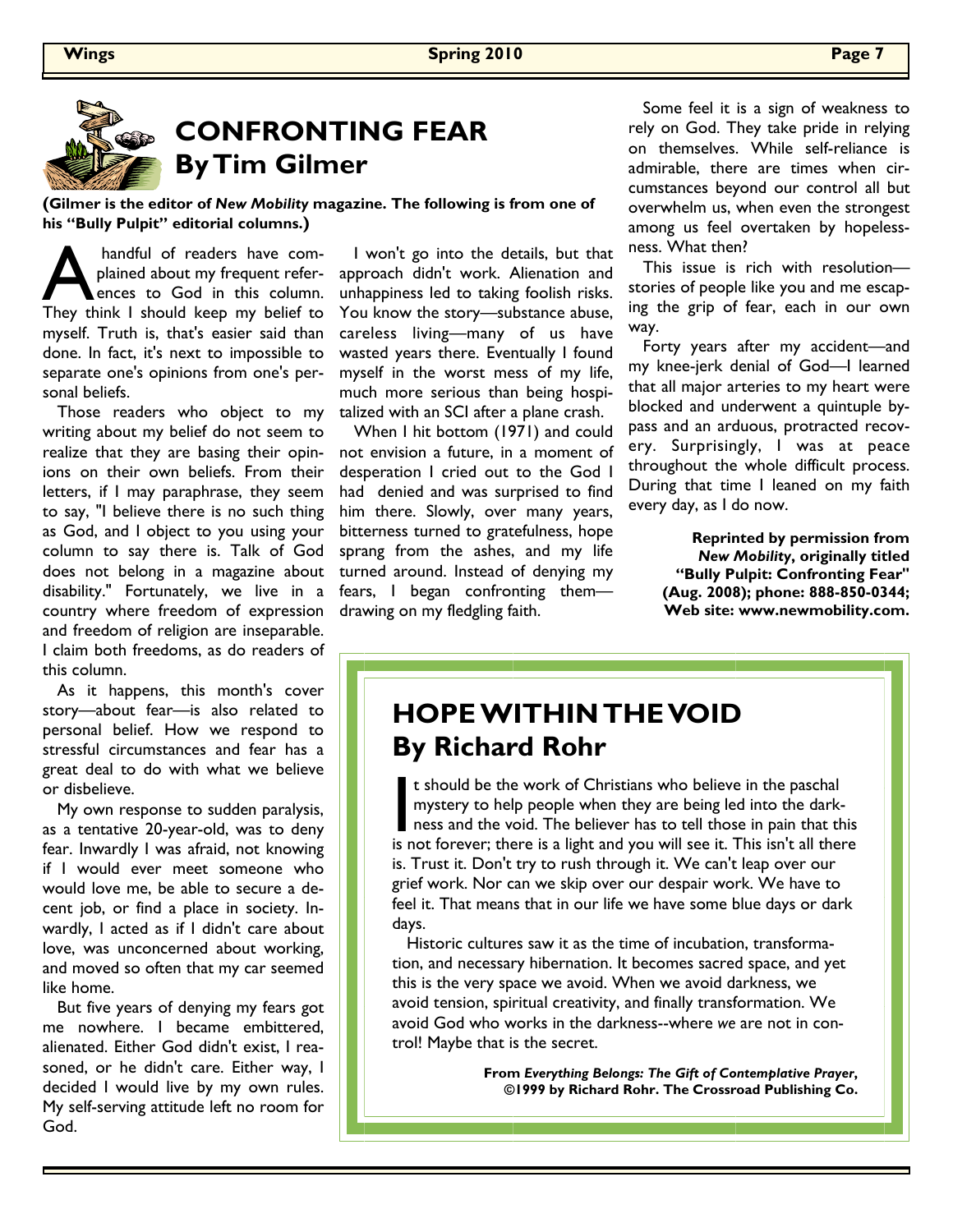

# CONFRONTING FEAR By Tim Gilmer

(Gilmer is the editor of New Mobility magazine. The following is from one of his "Bully Pulpit" editorial columns.)

handful of readers have com-<br>plained about my frequent refer-<br>ences to God in this column.<br>They think I should keep my belief to plained about my frequent references to God in this column. They think I should keep my belief to myself. Truth is, that's easier said than done. In fact, it's next to impossible to separate one's opinions from one's personal beliefs.

 Those readers who object to my writing about my belief do not seem to realize that they are basing their opinions on their own beliefs. From their letters, if I may paraphrase, they seem to say, "I believe there is no such thing as God, and I object to you using your column to say there is. Talk of God does not belong in a magazine about disability." Fortunately, we live in a country where freedom of expression and freedom of religion are inseparable. I claim both freedoms, as do readers of this column.

 As it happens, this month's cover story—about fear—is also related to personal belief. How we respond to stressful circumstances and fear has a great deal to do with what we believe or disbelieve.

 My own response to sudden paralysis, as a tentative 20-year-old, was to deny fear. Inwardly I was afraid, not knowing if I would ever meet someone who would love me, be able to secure a decent job, or find a place in society. Inwardly, I acted as if I didn't care about love, was unconcerned about working, and moved so often that my car seemed like home.

 But five years of denying my fears got me nowhere. I became embittered, alienated. Either God didn't exist, I reasoned, or he didn't care. Either way, I decided I would live by my own rules. My self-serving attitude left no room for God.

 I won't go into the details, but that approach didn't work. Alienation and unhappiness led to taking foolish risks. You know the story—substance abuse, careless living—many of us have wasted years there. Eventually I found myself in the worst mess of my life, much more serious than being hospitalized with an SCI after a plane crash.

 When I hit bottom (1971) and could not envision a future, in a moment of desperation I cried out to the God I had denied and was surprised to find him there. Slowly, over many years, bitterness turned to gratefulness, hope sprang from the ashes, and my life turned around. Instead of denying my fears, I began confronting them drawing on my fledgling faith.

 Some feel it is a sign of weakness to rely on God. They take pride in relying on themselves. While self-reliance is admirable, there are times when circumstances beyond our control all but overwhelm us, when even the strongest among us feel overtaken by hopelessness. What then?

 This issue is rich with resolution stories of people like you and me escaping the grip of fear, each in our own way.

 Forty years after my accident—and my knee-jerk denial of God—I learned that all major arteries to my heart were blocked and underwent a quintuple bypass and an arduous, protracted recovery. Surprisingly, I was at peace throughout the whole difficult process. During that time I leaned on my faith every day, as I do now.

> Reprinted by permission from New Mobility, originally titled "Bully Pulpit: Confronting Fear" (Aug. 2008); phone: 888-850-0344; Web site: www.newmobility.com.

### HOPE WITHIN THE VOID By Richard Rohr

It should be the work of Christians who believe in the paschal<br>mystery to help people when they are being led into the dark-<br>ness and the void. The believer has to tell those in pain that the<br>is not forever: there is a lig mystery to help people when they are being led into the darkness and the void. The believer has to tell those in pain that this is not forever; there is a light and you will see it. This isn't all there is. Trust it. Don't try to rush through it. We can't leap over our grief work. Nor can we skip over our despair work. We have to feel it. That means that in our life we have some blue days or dark days.

 Historic cultures saw it as the time of incubation, transformation, and necessary hibernation. It becomes sacred space, and yet this is the very space we avoid. When we avoid darkness, we avoid tension, spiritual creativity, and finally transformation. We avoid God who works in the darkness--where we are not in control! Maybe that is the secret.

> From Everything Belongs: The Gift of Contemplative Prayer, ©1999 by Richard Rohr. The Crossroad Publishing Co.